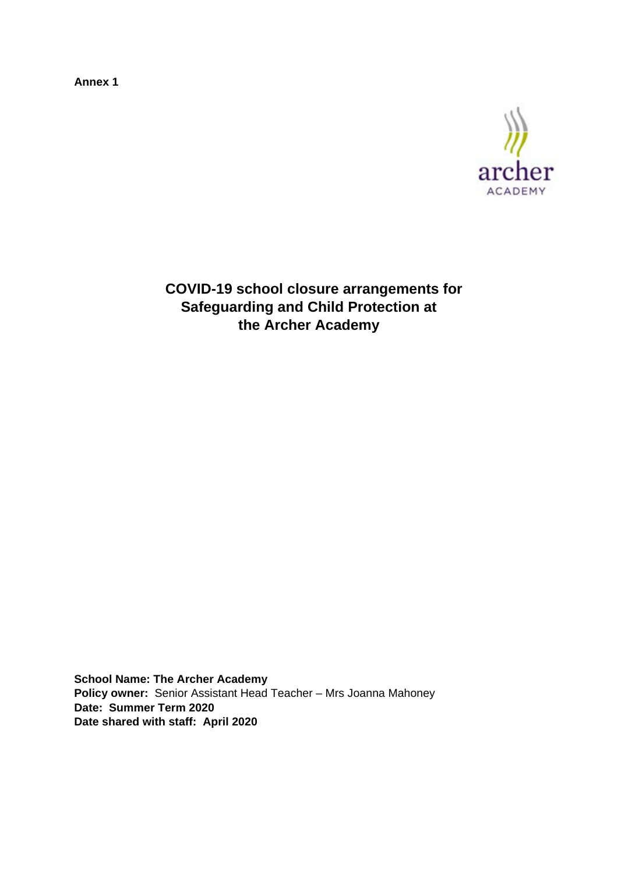**Annex 1** 



**COVID-19 school closure arrangements for Safeguarding and Child Protection at the Archer Academy**

**School Name: The Archer Academy Policy owner:** Senior Assistant Head Teacher – Mrs Joanna Mahoney **Date: Summer Term 2020 Date shared with staff: April 2020**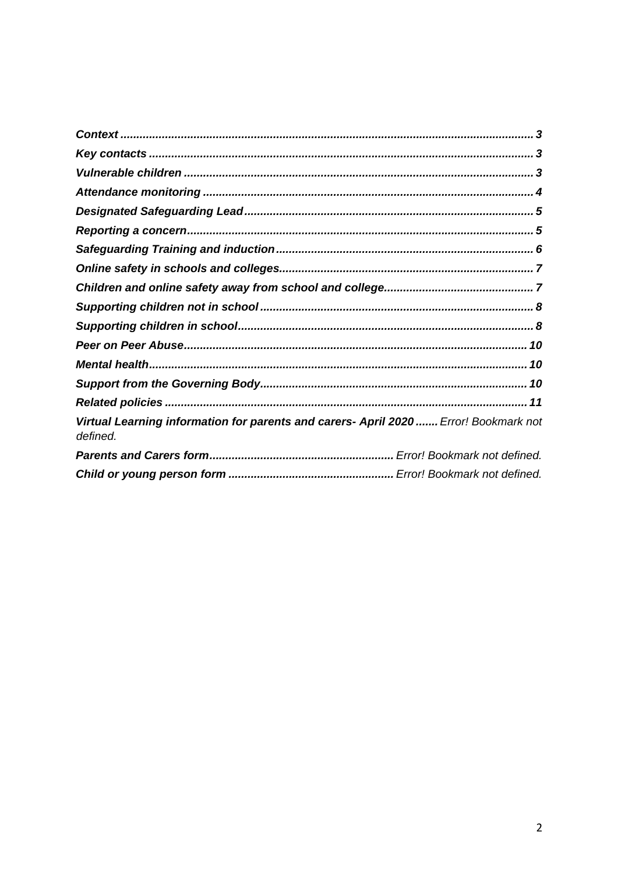| Virtual Learning information for parents and carers- April 2020  Error! Bookmark not<br>defined. |  |
|--------------------------------------------------------------------------------------------------|--|
|                                                                                                  |  |
|                                                                                                  |  |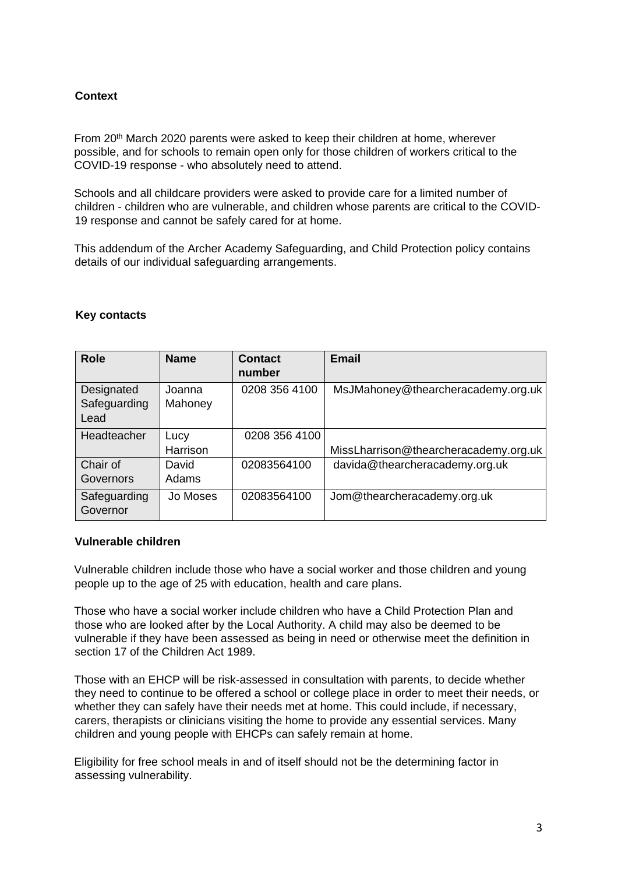# <span id="page-2-0"></span>**Context**

From 20<sup>th</sup> March 2020 parents were asked to keep their children at home, wherever possible, and for schools to remain open only for those children of workers critical to the COVID-19 response - who absolutely need to attend.

Schools and all childcare providers were asked to provide care for a limited number of children - children who are vulnerable, and children whose parents are critical to the COVID-19 response and cannot be safely cared for at home.

This addendum of the Archer Academy Safeguarding, and Child Protection policy contains details of our individual safeguarding arrangements.

| <b>Role</b>                        | <b>Name</b>       | Contact<br>number | <b>Email</b>                          |
|------------------------------------|-------------------|-------------------|---------------------------------------|
| Designated<br>Safeguarding<br>Lead | Joanna<br>Mahoney | 0208 356 4100     | MsJMahoney@thearcheracademy.org.uk    |
| Headteacher                        | Lucy<br>Harrison  | 0208 356 4100     | MissLharrison@thearcheracademy.org.uk |
| Chair of<br>Governors              | David<br>Adams    | 02083564100       | davida@thearcheracademy.org.uk        |
| Safeguarding<br>Governor           | Jo Moses          | 02083564100       | Jom@thearcheracademy.org.uk           |

#### <span id="page-2-1"></span>**Key contacts**

### <span id="page-2-2"></span>**Vulnerable children**

Vulnerable children include those who have a social worker and those children and young people up to the age of 25 with education, health and care plans.

Those who have a social worker include children who have a Child Protection Plan and those who are looked after by the Local Authority. A child may also be deemed to be vulnerable if they have been assessed as being in need or otherwise meet the definition in section 17 of the Children Act 1989.

Those with an EHCP will be risk-assessed in consultation with parents, to decide whether they need to continue to be offered a school or college place in order to meet their needs, or whether they can safely have their needs met at home. This could include, if necessary, carers, therapists or clinicians visiting the home to provide any essential services. Many children and young people with EHCPs can safely remain at home.

Eligibility for free school meals in and of itself should not be the determining factor in assessing vulnerability.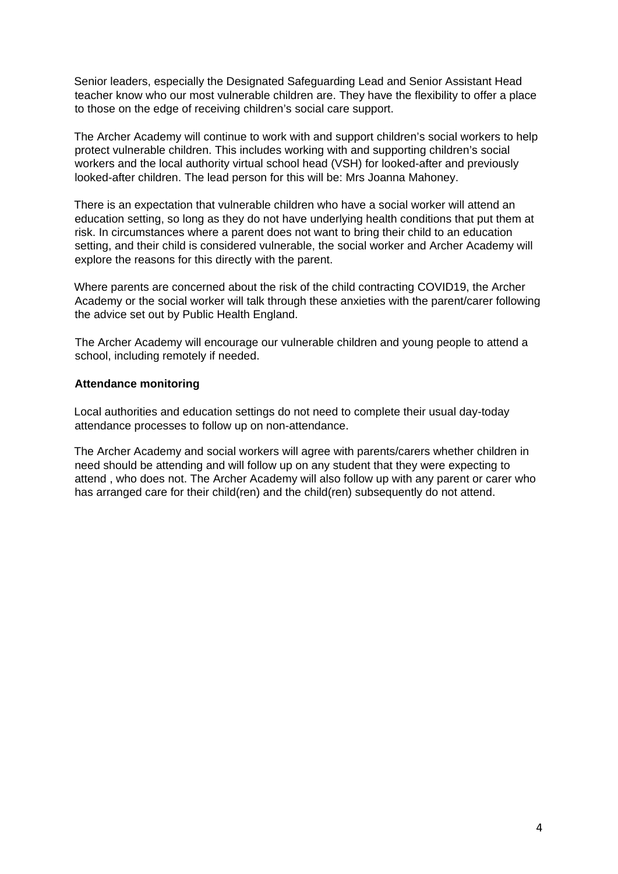Senior leaders, especially the Designated Safeguarding Lead and Senior Assistant Head teacher know who our most vulnerable children are. They have the flexibility to offer a place to those on the edge of receiving children's social care support.

The Archer Academy will continue to work with and support children's social workers to help protect vulnerable children. This includes working with and supporting children's social workers and the local authority virtual school head (VSH) for looked-after and previously looked-after children. The lead person for this will be: Mrs Joanna Mahoney.

There is an expectation that vulnerable children who have a social worker will attend an education setting, so long as they do not have underlying health conditions that put them at risk. In circumstances where a parent does not want to bring their child to an education setting, and their child is considered vulnerable, the social worker and Archer Academy will explore the reasons for this directly with the parent.

Where parents are concerned about the risk of the child contracting COVID19, the Archer Academy or the social worker will talk through these anxieties with the parent/carer following the advice set out by Public Health England.

The Archer Academy will encourage our vulnerable children and young people to attend a school, including remotely if needed.

#### <span id="page-3-0"></span>**Attendance monitoring**

Local authorities and education settings do not need to complete their usual day-today attendance processes to follow up on non-attendance.

The Archer Academy and social workers will agree with parents/carers whether children in need should be attending and will follow up on any student that they were expecting to attend , who does not. The Archer Academy will also follow up with any parent or carer who has arranged care for their child(ren) and the child(ren) subsequently do not attend.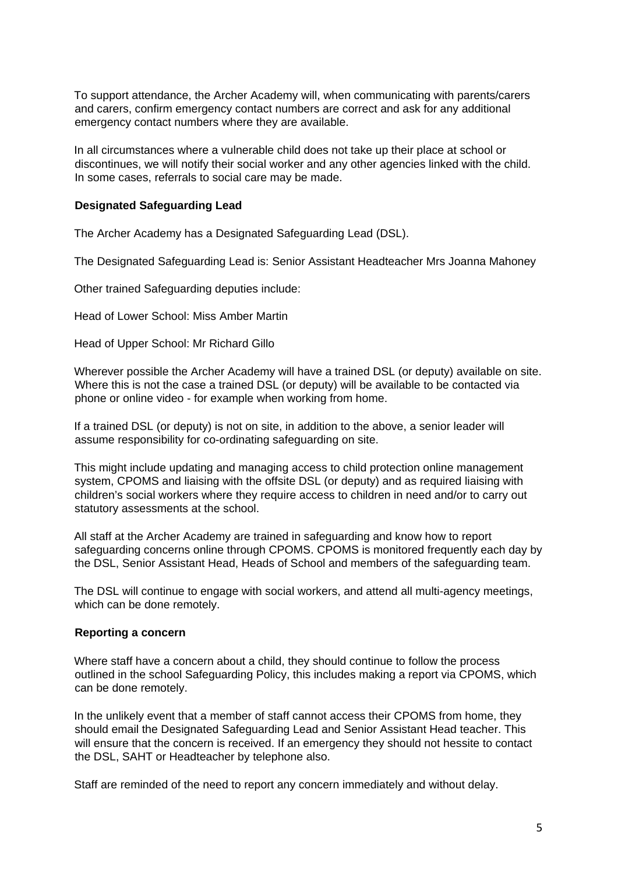To support attendance, the Archer Academy will, when communicating with parents/carers and carers, confirm emergency contact numbers are correct and ask for any additional emergency contact numbers where they are available.

In all circumstances where a vulnerable child does not take up their place at school or discontinues, we will notify their social worker and any other agencies linked with the child. In some cases, referrals to social care may be made.

### <span id="page-4-0"></span>**Designated Safeguarding Lead**

The Archer Academy has a Designated Safeguarding Lead (DSL).

The Designated Safeguarding Lead is: Senior Assistant Headteacher Mrs Joanna Mahoney

Other trained Safeguarding deputies include:

Head of Lower School: Miss Amber Martin

Head of Upper School: Mr Richard Gillo

Wherever possible the Archer Academy will have a trained DSL (or deputy) available on site. Where this is not the case a trained DSL (or deputy) will be available to be contacted via phone or online video - for example when working from home.

If a trained DSL (or deputy) is not on site, in addition to the above, a senior leader will assume responsibility for co-ordinating safeguarding on site.

This might include updating and managing access to child protection online management system, CPOMS and liaising with the offsite DSL (or deputy) and as required liaising with children's social workers where they require access to children in need and/or to carry out statutory assessments at the school.

All staff at the Archer Academy are trained in safeguarding and know how to report safeguarding concerns online through CPOMS. CPOMS is monitored frequently each day by the DSL, Senior Assistant Head, Heads of School and members of the safeguarding team.

The DSL will continue to engage with social workers, and attend all multi-agency meetings, which can be done remotely.

#### <span id="page-4-1"></span>**Reporting a concern**

Where staff have a concern about a child, they should continue to follow the process outlined in the school Safeguarding Policy, this includes making a report via CPOMS, which can be done remotely.

In the unlikely event that a member of staff cannot access their CPOMS from home, they should email the Designated Safeguarding Lead and Senior Assistant Head teacher. This will ensure that the concern is received. If an emergency they should not hessite to contact the DSL, SAHT or Headteacher by telephone also.

Staff are reminded of the need to report any concern immediately and without delay.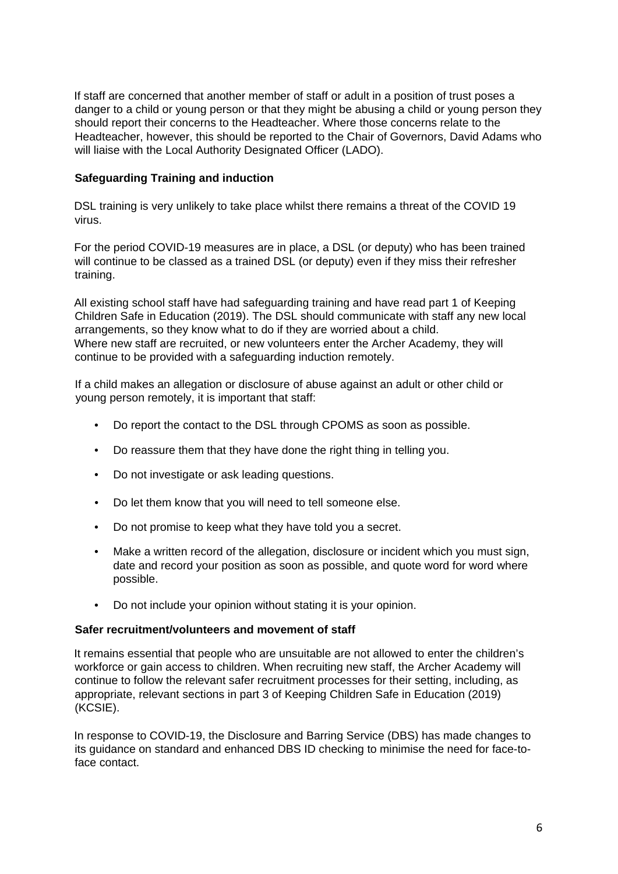If staff are concerned that another member of staff or adult in a position of trust poses a danger to a child or young person or that they might be abusing a child or young person they should report their concerns to the Headteacher. Where those concerns relate to the Headteacher, however, this should be reported to the Chair of Governors, David Adams who will liaise with the Local Authority Designated Officer (LADO).

# <span id="page-5-0"></span>**Safeguarding Training and induction**

DSL training is very unlikely to take place whilst there remains a threat of the COVID 19 virus.

For the period COVID-19 measures are in place, a DSL (or deputy) who has been trained will continue to be classed as a trained DSL (or deputy) even if they miss their refresher training.

All existing school staff have had safeguarding training and have read part 1 of Keeping Children Safe in Education (2019). The DSL should communicate with staff any new local arrangements, so they know what to do if they are worried about a child. Where new staff are recruited, or new volunteers enter the Archer Academy, they will continue to be provided with a safeguarding induction remotely.

If a child makes an allegation or disclosure of abuse against an adult or other child or young person remotely, it is important that staff:

- Do report the contact to the DSL through CPOMS as soon as possible.
- Do reassure them that they have done the right thing in telling you.
- Do not investigate or ask leading questions.
- Do let them know that you will need to tell someone else.
- Do not promise to keep what they have told you a secret.
- Make a written record of the allegation, disclosure or incident which you must sign, date and record your position as soon as possible, and quote word for word where possible.
- Do not include your opinion without stating it is your opinion.

### **Safer recruitment/volunteers and movement of staff**

It remains essential that people who are unsuitable are not allowed to enter the children's workforce or gain access to children. When recruiting new staff, the Archer Academy will continue to follow the relevant safer recruitment processes for their setting, including, as appropriate, relevant sections in part 3 of Keeping Children Safe in Education (2019) (KCSIE).

In response to COVID-19, the Disclosure and Barring Service (DBS) has made changes to its guidance on standard and enhanced DBS ID checking to minimise the need for face-toface contact.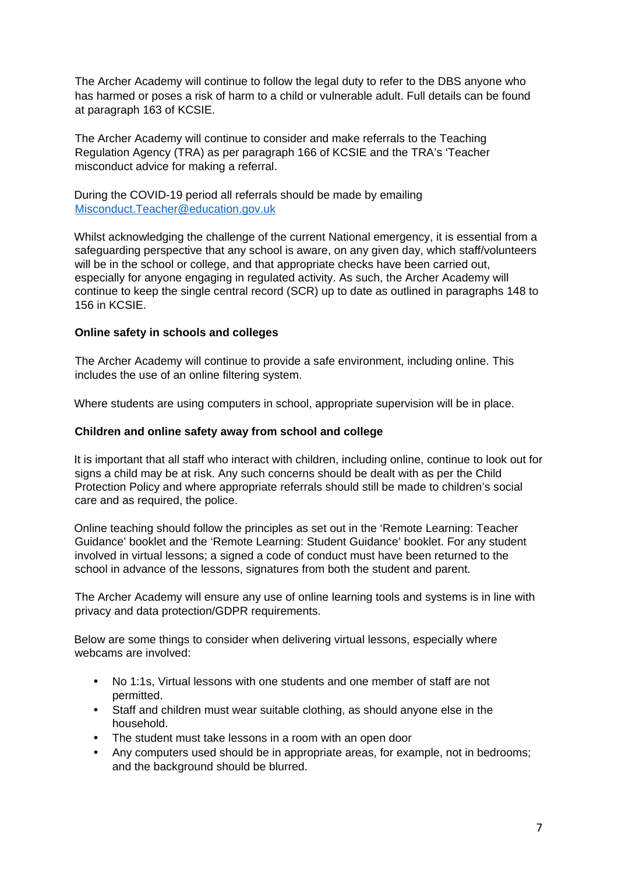The Archer Academy will continue to follow the legal duty to refer to the DBS anyone who has harmed or poses a risk of harm to a child or vulnerable adult. Full details can be found at paragraph 163 of KCSIE.

The Archer Academy will continue to consider and make referrals to the Teaching Regulation Agency (TRA) as per paragraph 166 of KCSIE and the TRA's 'Teacher misconduct advice for making a referral.

During the COVID-19 period all referrals should be made by emailing Misconduct.Teacher@education.gov.uk

Whilst acknowledging the challenge of the current National emergency, it is essential from a safeguarding perspective that any school is aware, on any given day, which staff/volunteers will be in the school or college, and that appropriate checks have been carried out, especially for anyone engaging in regulated activity. As such, the Archer Academy will continue to keep the single central record (SCR) up to date as outlined in paragraphs 148 to 156 in KCSIE.

### <span id="page-6-0"></span>**Online safety in schools and colleges**

The Archer Academy will continue to provide a safe environment, including online. This includes the use of an online filtering system.

Where students are using computers in school, appropriate supervision will be in place.

### <span id="page-6-1"></span>**Children and online safety away from school and college**

It is important that all staff who interact with children, including online, continue to look out for signs a child may be at risk. Any such concerns should be dealt with as per the Child Protection Policy and where appropriate referrals should still be made to children's social care and as required, the police.

Online teaching should follow the principles as set out in the 'Remote Learning: Teacher Guidance' booklet and the 'Remote Learning: Student Guidance' booklet. For any student involved in virtual lessons; a signed a code of conduct must have been returned to the school in advance of the lessons, signatures from both the student and parent.

The Archer Academy will ensure any use of online learning tools and systems is in line with privacy and data protection/GDPR requirements.

Below are some things to consider when delivering virtual lessons, especially where webcams are involved:

- No 1:1s, Virtual lessons with one students and one member of staff are not permitted.
- Staff and children must wear suitable clothing, as should anyone else in the household.
- The student must take lessons in a room with an open door
- Any computers used should be in appropriate areas, for example, not in bedrooms; and the background should be blurred.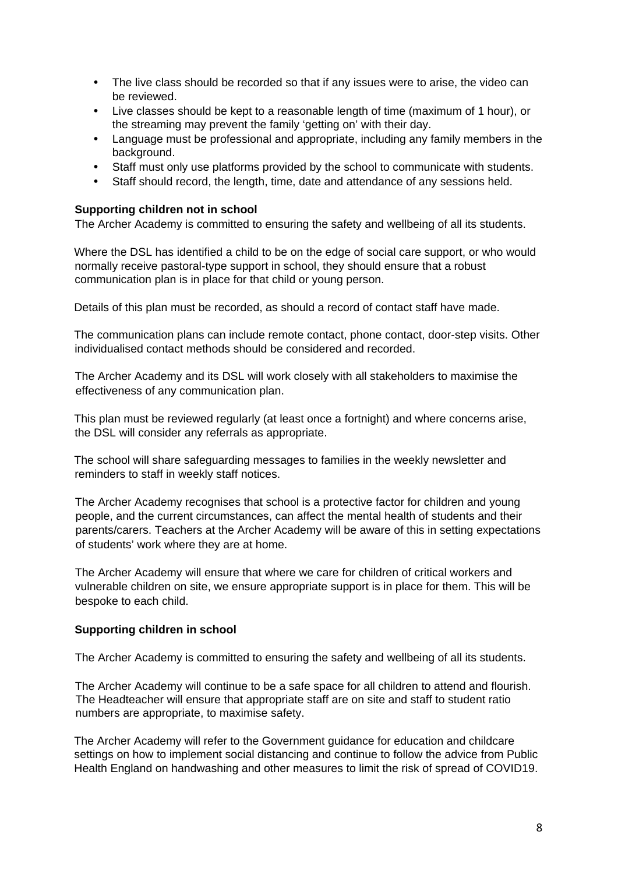- The live class should be recorded so that if any issues were to arise, the video can be reviewed.
- Live classes should be kept to a reasonable length of time (maximum of 1 hour), or the streaming may prevent the family 'getting on' with their day.
- Language must be professional and appropriate, including any family members in the background.
- Staff must only use platforms provided by the school to communicate with students.
- Staff should record, the length, time, date and attendance of any sessions held.

### <span id="page-7-0"></span>**Supporting children not in school**

The Archer Academy is committed to ensuring the safety and wellbeing of all its students.

Where the DSL has identified a child to be on the edge of social care support, or who would normally receive pastoral-type support in school, they should ensure that a robust communication plan is in place for that child or young person.

Details of this plan must be recorded, as should a record of contact staff have made.

The communication plans can include remote contact, phone contact, door-step visits. Other individualised contact methods should be considered and recorded.

The Archer Academy and its DSL will work closely with all stakeholders to maximise the effectiveness of any communication plan.

This plan must be reviewed regularly (at least once a fortnight) and where concerns arise, the DSL will consider any referrals as appropriate.

The school will share safeguarding messages to families in the weekly newsletter and reminders to staff in weekly staff notices.

The Archer Academy recognises that school is a protective factor for children and young people, and the current circumstances, can affect the mental health of students and their parents/carers. Teachers at the Archer Academy will be aware of this in setting expectations of students' work where they are at home.

The Archer Academy will ensure that where we care for children of critical workers and vulnerable children on site, we ensure appropriate support is in place for them. This will be bespoke to each child.

### <span id="page-7-1"></span>**Supporting children in school**

The Archer Academy is committed to ensuring the safety and wellbeing of all its students.

The Archer Academy will continue to be a safe space for all children to attend and flourish. The Headteacher will ensure that appropriate staff are on site and staff to student ratio numbers are appropriate, to maximise safety.

The Archer Academy will refer to the Government guidance for education and childcare settings on how to implement social distancing and continue to follow the advice from Public Health England on handwashing and other measures to limit the risk of spread of COVID19.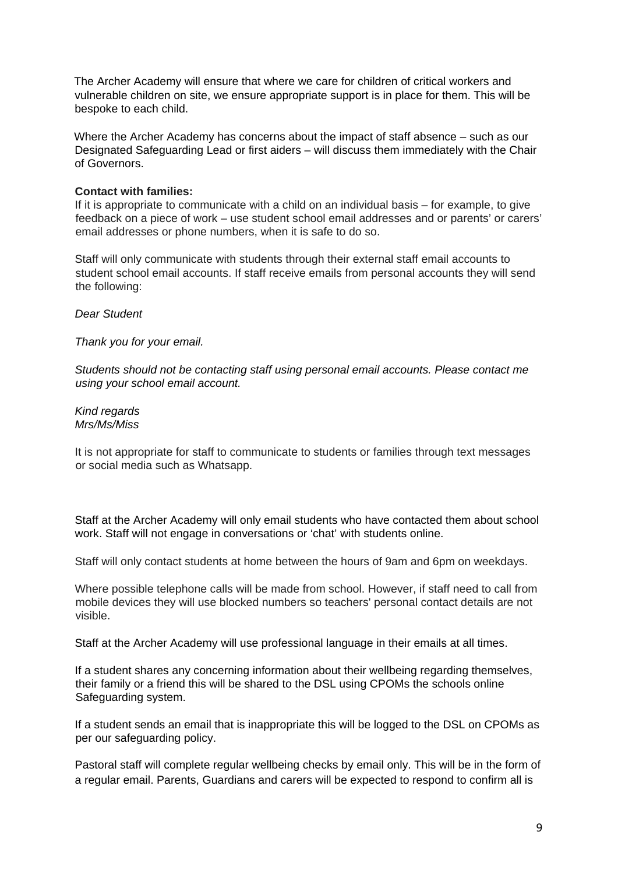The Archer Academy will ensure that where we care for children of critical workers and vulnerable children on site, we ensure appropriate support is in place for them. This will be bespoke to each child.

Where the Archer Academy has concerns about the impact of staff absence – such as our Designated Safeguarding Lead or first aiders – will discuss them immediately with the Chair of Governors.

### **Contact with families:**

If it is appropriate to communicate with a child on an individual basis – for example, to give feedback on a piece of work – use student school email addresses and or parents' or carers' email addresses or phone numbers, when it is safe to do so.

Staff will only communicate with students through their external staff email accounts to student school email accounts. If staff receive emails from personal accounts they will send the following:

*Dear Student* 

*Thank you for your email.*

*Students should not be contacting staff using personal email accounts. Please contact me using your school email account.* 

*Kind regards Mrs/Ms/Miss* 

It is not appropriate for staff to communicate to students or families through text messages or social media such as Whatsapp.

Staff at the Archer Academy will only email students who have contacted them about school work. Staff will not engage in conversations or 'chat' with students online.

Staff will only contact students at home between the hours of 9am and 6pm on weekdays.

Where possible telephone calls will be made from school. However, if staff need to call from mobile devices they will use blocked numbers so teachers' personal contact details are not visible.

Staff at the Archer Academy will use professional language in their emails at all times.

If a student shares any concerning information about their wellbeing regarding themselves, their family or a friend this will be shared to the DSL using CPOMs the schools online Safeguarding system.

If a student sends an email that is inappropriate this will be logged to the DSL on CPOMs as per our safeguarding policy.

Pastoral staff will complete regular wellbeing checks by email only. This will be in the form of a regular email. Parents, Guardians and carers will be expected to respond to confirm all is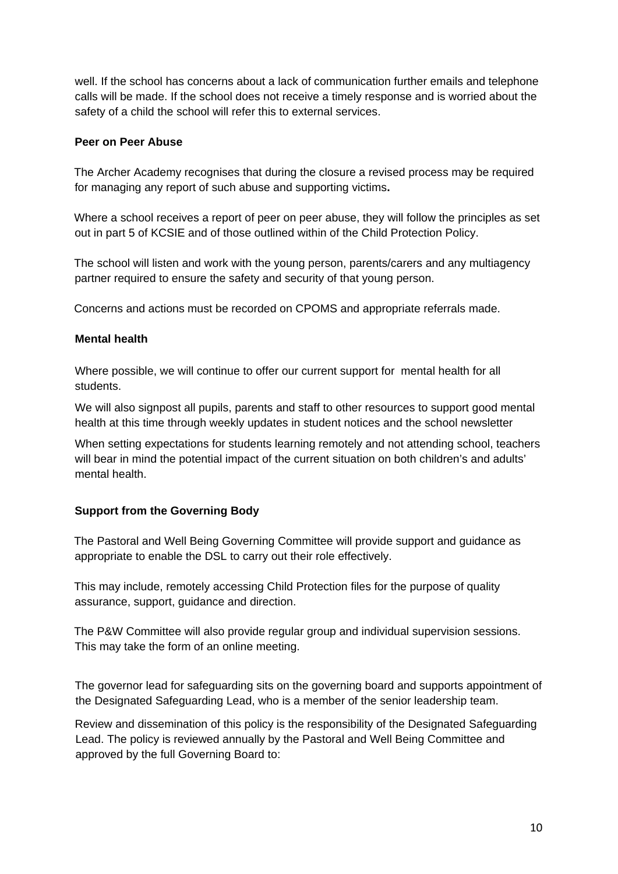well. If the school has concerns about a lack of communication further emails and telephone calls will be made. If the school does not receive a timely response and is worried about the safety of a child the school will refer this to external services.

### <span id="page-9-0"></span>**Peer on Peer Abuse**

The Archer Academy recognises that during the closure a revised process may be required for managing any report of such abuse and supporting victims**.** 

Where a school receives a report of peer on peer abuse, they will follow the principles as set out in part 5 of KCSIE and of those outlined within of the Child Protection Policy.

The school will listen and work with the young person, parents/carers and any multiagency partner required to ensure the safety and security of that young person.

Concerns and actions must be recorded on CPOMS and appropriate referrals made.

### <span id="page-9-1"></span>**Mental health**

Where possible, we will continue to offer our current support for mental health for all students.

We will also signpost all pupils, parents and staff to other resources to support good mental health at this time through weekly updates in student notices and the school newsletter

When setting expectations for students learning remotely and not attending school, teachers will bear in mind the potential impact of the current situation on both children's and adults' mental health.

# <span id="page-9-2"></span>**Support from the Governing Body**

The Pastoral and Well Being Governing Committee will provide support and guidance as appropriate to enable the DSL to carry out their role effectively.

This may include, remotely accessing Child Protection files for the purpose of quality assurance, support, guidance and direction.

The P&W Committee will also provide regular group and individual supervision sessions. This may take the form of an online meeting.

The governor lead for safeguarding sits on the governing board and supports appointment of the Designated Safeguarding Lead, who is a member of the senior leadership team.

Review and dissemination of this policy is the responsibility of the Designated Safeguarding Lead. The policy is reviewed annually by the Pastoral and Well Being Committee and approved by the full Governing Board to: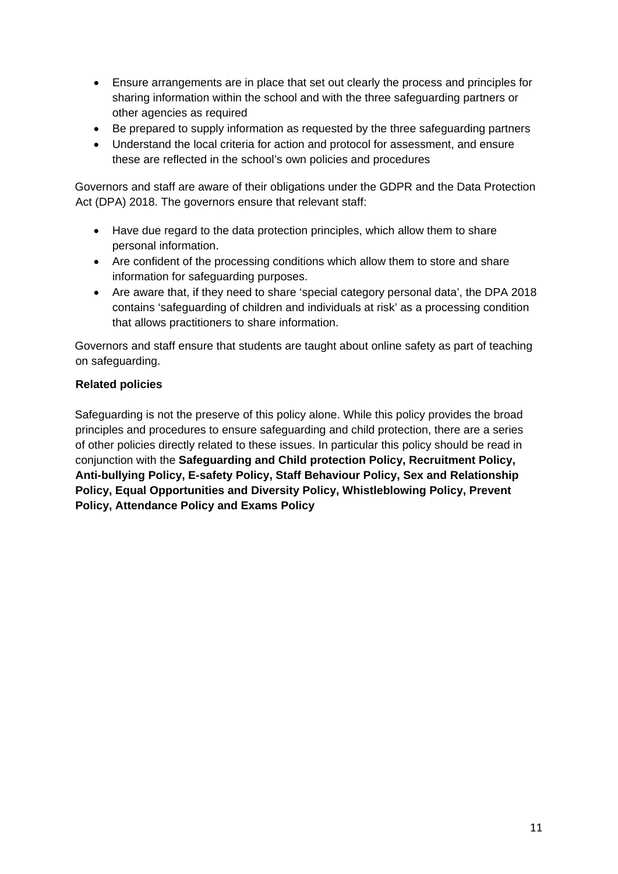- Ensure arrangements are in place that set out clearly the process and principles for sharing information within the school and with the three safeguarding partners or other agencies as required
- Be prepared to supply information as requested by the three safeguarding partners
- Understand the local criteria for action and protocol for assessment, and ensure these are reflected in the school's own policies and procedures

Governors and staff are aware of their obligations under the GDPR and the Data Protection Act (DPA) 2018. The governors ensure that relevant staff:

- Have due regard to the data protection principles, which allow them to share personal information.
- Are confident of the processing conditions which allow them to store and share information for safeguarding purposes.
- Are aware that, if they need to share 'special category personal data', the DPA 2018 contains 'safeguarding of children and individuals at risk' as a processing condition that allows practitioners to share information.

Governors and staff ensure that students are taught about online safety as part of teaching on safeguarding.

# <span id="page-10-0"></span>**Related policies**

Safeguarding is not the preserve of this policy alone. While this policy provides the broad principles and procedures to ensure safeguarding and child protection, there are a series of other policies directly related to these issues. In particular this policy should be read in conjunction with the **Safeguarding and Child protection Policy, Recruitment Policy, Anti-bullying Policy, E-safety Policy, Staff Behaviour Policy, Sex and Relationship Policy, Equal Opportunities and Diversity Policy, Whistleblowing Policy, Prevent Policy, Attendance Policy and Exams Policy**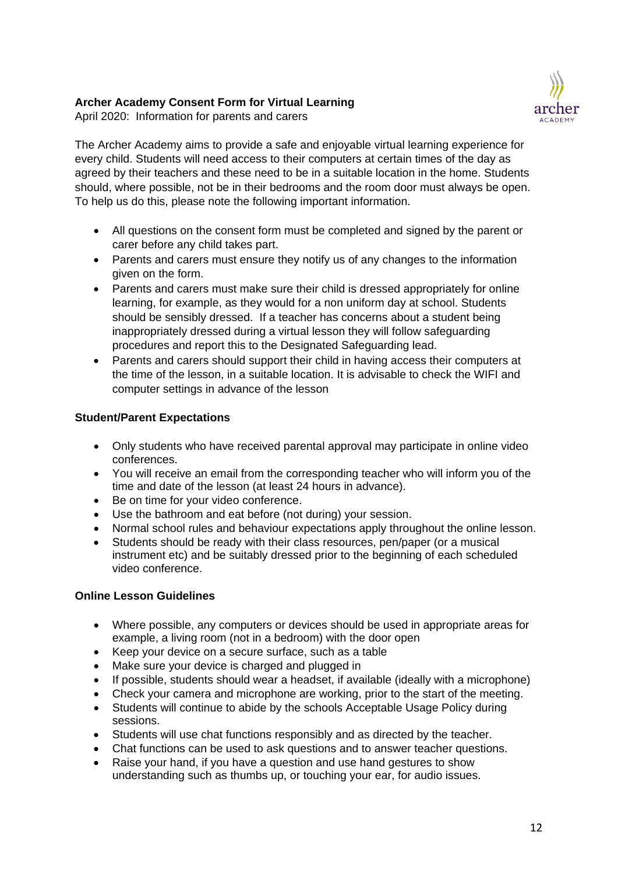# **Archer Academy Consent Form for Virtual Learning**



April 2020: Information for parents and carers

The Archer Academy aims to provide a safe and enjoyable virtual learning experience for every child. Students will need access to their computers at certain times of the day as agreed by their teachers and these need to be in a suitable location in the home. Students should, where possible, not be in their bedrooms and the room door must always be open. To help us do this, please note the following important information.

- All questions on the consent form must be completed and signed by the parent or carer before any child takes part.
- Parents and carers must ensure they notify us of any changes to the information given on the form.
- Parents and carers must make sure their child is dressed appropriately for online learning, for example, as they would for a non uniform day at school. Students should be sensibly dressed. If a teacher has concerns about a student being inappropriately dressed during a virtual lesson they will follow safeguarding procedures and report this to the Designated Safeguarding lead.
- Parents and carers should support their child in having access their computers at the time of the lesson, in a suitable location. It is advisable to check the WIFI and computer settings in advance of the lesson

# **Student/Parent Expectations**

- Only students who have received parental approval may participate in online video conferences.
- You will receive an email from the corresponding teacher who will inform you of the time and date of the lesson (at least 24 hours in advance).
- Be on time for your video conference.
- Use the bathroom and eat before (not during) your session.
- Normal school rules and behaviour expectations apply throughout the online lesson.
- Students should be ready with their class resources, pen/paper (or a musical instrument etc) and be suitably dressed prior to the beginning of each scheduled video conference.

# **Online Lesson Guidelines**

- Where possible, any computers or devices should be used in appropriate areas for example, a living room (not in a bedroom) with the door open
- Keep your device on a secure surface, such as a table
- Make sure your device is charged and plugged in
- If possible, students should wear a headset, if available (ideally with a microphone)
- Check your camera and microphone are working, prior to the start of the meeting.
- Students will continue to abide by the schools Acceptable Usage Policy during sessions.
- Students will use chat functions responsibly and as directed by the teacher.
- Chat functions can be used to ask questions and to answer teacher questions.
- Raise your hand, if you have a question and use hand gestures to show understanding such as thumbs up, or touching your ear, for audio issues.